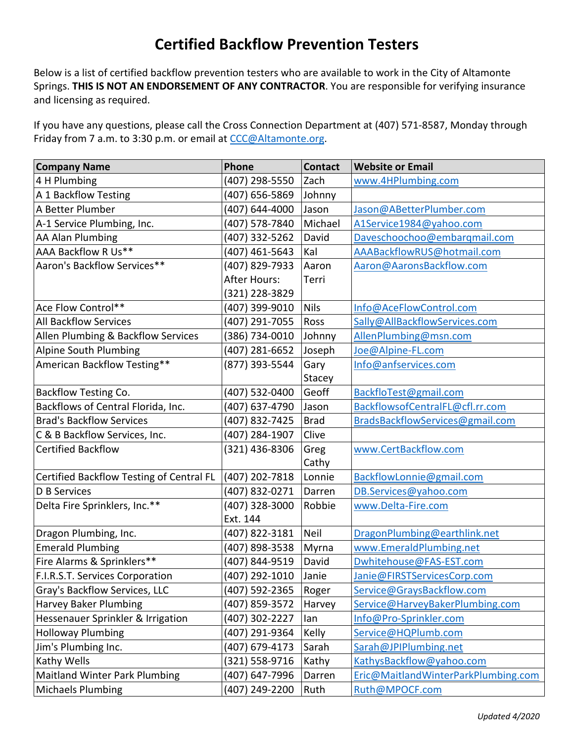## **Certified Backflow Prevention Testers**

Below is a list of certified backflow prevention testers who are available to work in the City of Altamonte Springs. **THIS IS NOT AN ENDORSEMENT OF ANY CONTRACTOR**. You are responsible for verifying insurance and licensing as required.

If you have any questions, please call the Cross Connection Department at (407) 571-8587, Monday through Friday from 7 a.m. to 3:30 p.m. or email at [CCC@Altamonte.org.](mailto:CCC@Altamonte.org)

| <b>Company Name</b>                      | Phone          | <b>Contact</b> | <b>Website or Email</b>             |
|------------------------------------------|----------------|----------------|-------------------------------------|
| 4 H Plumbing                             | (407) 298-5550 | Zach           | www.4HPlumbing.com                  |
| A 1 Backflow Testing                     | (407) 656-5869 | Johnny         |                                     |
| A Better Plumber                         | (407) 644-4000 | Jason          | Jason@ABetterPlumber.com            |
| A-1 Service Plumbing, Inc.               | (407) 578-7840 | Michael        | A1Service1984@yahoo.com             |
| AA Alan Plumbing                         | (407) 332-5262 | David          | Daveschoochoo@embarqmail.com        |
| AAA Backflow R Us**                      | (407) 461-5643 | Kal            | AAABackflowRUS@hotmail.com          |
| Aaron's Backflow Services**              | (407) 829-7933 | Aaron          | Aaron@AaronsBackflow.com            |
|                                          | After Hours:   | Terri          |                                     |
|                                          | (321) 228-3829 |                |                                     |
| Ace Flow Control**                       | (407) 399-9010 | <b>Nils</b>    | Info@AceFlowControl.com             |
| <b>All Backflow Services</b>             | (407) 291-7055 | Ross           | Sally@AllBackflowServices.com       |
| Allen Plumbing & Backflow Services       | (386) 734-0010 | Johnny         | AllenPlumbing@msn.com               |
| Alpine South Plumbing                    | (407) 281-6652 | Joseph         | Joe@Alpine-FL.com                   |
| American Backflow Testing**              | (877) 393-5544 | Gary           | Info@anfservices.com                |
|                                          |                | Stacey         |                                     |
| Backflow Testing Co.                     | (407) 532-0400 | Geoff          | BackfloTest@gmail.com               |
| Backflows of Central Florida, Inc.       | (407) 637-4790 | Jason          | BackflowsofCentralFL@cfl.rr.com     |
| <b>Brad's Backflow Services</b>          | (407) 832-7425 | <b>Brad</b>    | BradsBackflowServices@gmail.com     |
| C & B Backflow Services, Inc.            | (407) 284-1907 | Clive          |                                     |
| <b>Certified Backflow</b>                | (321) 436-8306 | Greg           | www.CertBackflow.com                |
|                                          |                | Cathy          |                                     |
| Certified Backflow Testing of Central FL | (407) 202-7818 | Lonnie         | BackflowLonnie@gmail.com            |
| <b>D B Services</b>                      | (407) 832-0271 | Darren         | DB.Services@yahoo.com               |
| Delta Fire Sprinklers, Inc.**            | (407) 328-3000 | Robbie         | www.Delta-Fire.com                  |
|                                          | Ext. 144       |                |                                     |
| Dragon Plumbing, Inc.                    | (407) 822-3181 | Neil           | DragonPlumbing@earthlink.net        |
| <b>Emerald Plumbing</b>                  | (407) 898-3538 | Myrna          | www.EmeraldPlumbing.net             |
| Fire Alarms & Sprinklers**               | (407) 844-9519 | David          | Dwhitehouse@FAS-EST.com             |
| F.I.R.S.T. Services Corporation          | (407) 292-1010 | Janie          | Janie@FIRSTServicesCorp.com         |
| Gray's Backflow Services, LLC            | (407) 592-2365 | Roger          | Service@GraysBackflow.com           |
| <b>Harvey Baker Plumbing</b>             | (407) 859-3572 | Harvey         | Service@HarveyBakerPlumbing.com     |
| Hessenauer Sprinkler & Irrigation        | (407) 302-2227 | lan            | Info@Pro-Sprinkler.com              |
| <b>Holloway Plumbing</b>                 | (407) 291-9364 | Kelly          | Service@HQPlumb.com                 |
| Jim's Plumbing Inc.                      | (407) 679-4173 | Sarah          | Sarah@JPIPlumbing.net               |
| <b>Kathy Wells</b>                       | (321) 558-9716 | Kathy          | KathysBackflow@yahoo.com            |
| <b>Maitland Winter Park Plumbing</b>     | (407) 647-7996 | Darren         | Eric@MaitlandWinterParkPlumbing.com |
| Michaels Plumbing                        | (407) 249-2200 | Ruth           | Ruth@MPOCF.com                      |